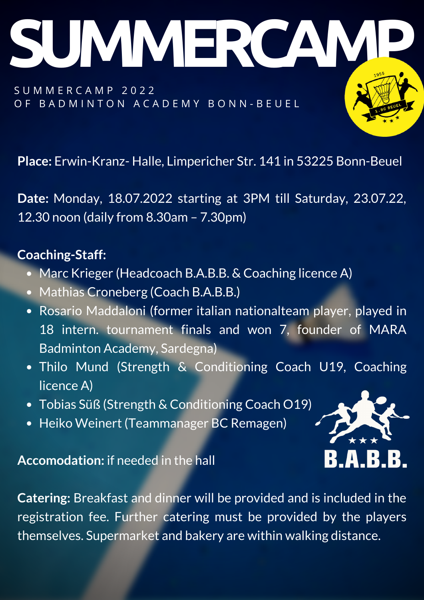S U M M E R C A M P 2 0 2 2 OF BADMINTON ACADEMY BONN-BEUEL

UMMERC

**Place:** Erwin-Kranz- Halle, Limpericher Str. 141 in 53225 Bonn-Beuel

**Date:** Monday, 18.07.2022 starting at 3PM till Saturday, 23.07.22, 12.30 noon (daily from 8.30am – 7.30pm)

## **Coaching-Staff:**

- Marc Krieger (Headcoach B.A.B.B. & Coaching licence A)
- Mathias Croneberg (Coach B.A.B.B.)
- Rosario Maddaloni (former italian nationalteam player, played in 18 intern. tournament finals and won 7, founder of MARA Badminton Academy, Sardegna)
- Thilo Mund (Strength & Conditioning Coach U19, Coaching licence A)
- Tobias Süß (Strength & Conditioning Coach O19)
- Heiko Weinert (Teammanager BC Remagen)

**Accomodation:** if needed in the hall

**Catering:** Breakfast and dinner will be provided and is included in the registration fee. Further catering must be provided by the players themselves. Supermarket and bakery are within walking distance.